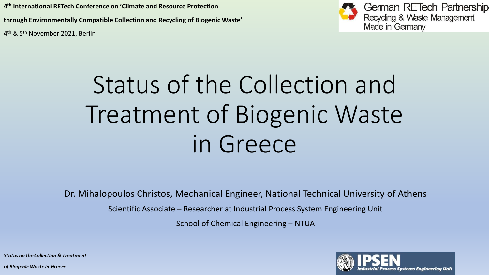**4 th International RETech Conference on 'Climate and Resource Protection through Environmentally Compatible Collection and Recycling of Biogenic Waste'**  4 th & 5th November 2021, Berlin



German RETech Partnership<br>Recycling & Waste Management Made in Germany

# Status of the Collection and Treatment of Biogenic Waste in Greece

Dr. Mihalopoulos Christos, Mechanical Engineer, National Technical University of Athens

Scientific Associate – Researcher at Industrial Process System Engineering Unit

School of Chemical Engineering – NTUA



**Status on the Collection & Treatment**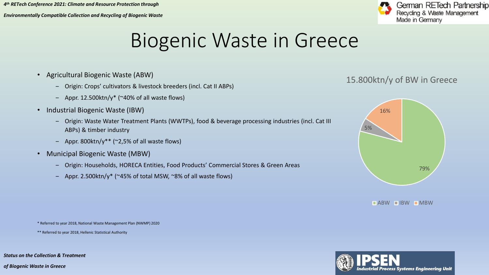*Environmentally Compatible Collection and Recycling of Biogenic Waste* 



#### Biogenic Waste in Greece

- Agricultural Biogenic Waste (ABW)
	- ‒ Origin: Crops' cultivators & livestock breeders (incl. Cat II ABPs)
	- Appr. 12.500 $\text{ktn}/y^*$  (~40% of all waste flows)
- Industrial Biogenic Waste (IBW)
	- ‒ Origin: Waste Water Treatment Plants (WWTPs), food & beverage processing industries (incl. Cat III ABPs) & timber industry
	- Appr. 800 $\text{km}/y^*$  (~2,5% of all waste flows)
- Municipal Biogenic Waste (MBW)
	- ‒ Origin: Households, HORECA Entities, Food Products' Commercial Stores & Green Areas
	- Appr. 2.500ktn/y\* ( $\approx$ 45% of total MSW,  $\approx$ 8% of all waste flows)

#### 15.800ktn/y of BW in Greece



 $\blacksquare$ ABW  $\blacksquare$ IBW  $\blacksquare$ MBW

\* Referred to year 2018, National Waste Management Plan (NWMP) 2020

\*\* Referred to year 2018, Hellenic Statistical Authority



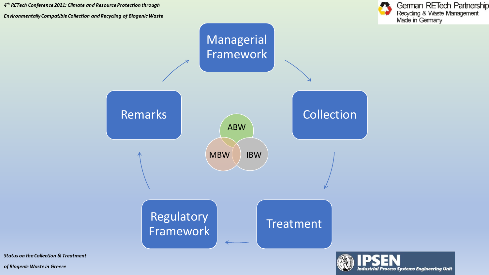

**Industrial Process Systems Engineering Unit** 



**Status on the Collection & Treatment**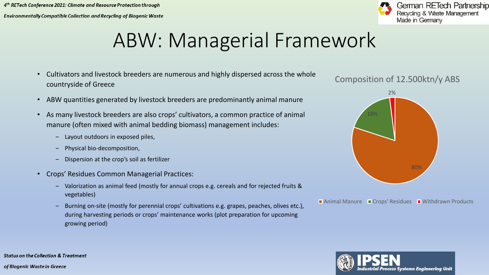

### ABW: Managerial Framework

- Cultivators and livestock breeders are numerous and highly dispersed across the whole countryside of Greece
- ABW quantities generated by livestock breeders are predominantly animal manure
- As many livestock breeders are also crops' cultivators, a common practice of animal manure (often mixed with animal bedding biomass) management includes:
	- ‒ Layout outdoors in exposed piles,
	- ‒ Physical bio-decomposition,
	- ‒ Dispersion at the crop's soil as fertilizer
- Crops' Residues Common Managerial Practices:
	- ‒ Valorization as animal feed (mostly for annual crops e.g. cereals and for rejected fruits & vegetables)
	- ‒ Burning on-site (mostly for perennial crops' cultivations e.g. grapes, peaches, olives etc.), during harvesting periods or crops' maintenance works (plot preparation for upcoming growing period)

#### Composition of 12.500ktn/y ABS



Animal Manure  $\blacksquare$  Crops' Residues  $\blacksquare$  Withdrawn Products



**Status on the Collection & Treatment**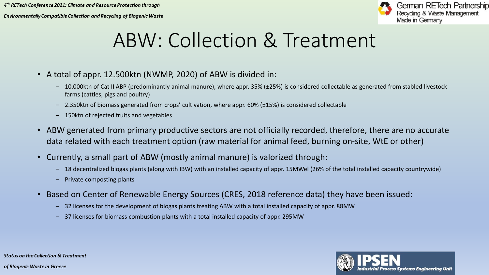Environmentally Compatible Collection and Recycling of Biogenic Waste



#### ABW: Collection & Treatment

- A total of appr. 12.500ktn (NWMP, 2020) of ABW is divided in:
	- 10.000ktn of Cat II ABP (predominantly animal manure), where appr. 35% (±25%) is considered collectable as generated from stabled livestock farms (cattles, pigs and poultry)
	- ‒ 2.350ktn of biomass generated from crops' cultivation, where appr. 60% (±15%) is considered collectable
	- ‒ 150ktn of rejected fruits and vegetables
- ABW generated from primary productive sectors are not officially recorded, therefore, there are no accurate data related with each treatment option (raw material for animal feed, burning on-site, WtE or other)
- Currently, a small part of ABW (mostly animal manure) is valorized through:
	- ‒ 18 decentralized biogas plants (along with IBW) with an installed capacity of appr. 15MWel (26% of the total installed capacity countrywide)
	- Private composting plants
- Based on Center of Renewable Energy Sources (CRES, 2018 reference data) they have been issued:
	- 32 licenses for the development of biogas plants treating ABW with a total installed capacity of appr. 88MW
	- ‒ 37 licenses for biomass combustion plants with a total installed capacity of appr. 295MW

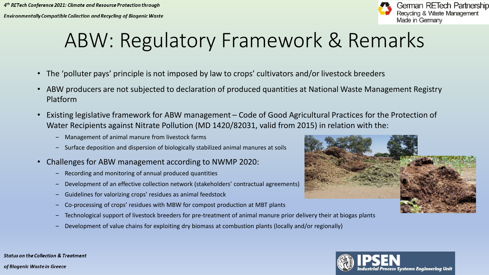

## ABW: Regulatory Framework & Remarks

- The 'polluter pays' principle is not imposed by law to crops' cultivators and/or livestock breeders
- ABW producers are not subjected to declaration of produced quantities at National Waste Management Registry Platform
- Existing legislative framework for ABW management Code of Good Agricultural Practices for the Protection of Water Recipients against Nitrate Pollution (MD 1420/82031, valid from 2015) in relation with the:
	- ‒ Management of animal manure from livestock farms
	- Surface deposition and dispersion of biologically stabilized animal manures at soils
- Challenges for ABW management according to NWMP 2020:
	- ‒ Recording and monitoring of annual produced quantities
	- Development of an effective collection network (stakeholders' contractual agreements)
	- ‒ Guidelines for valorizing crops' residues as animal feedstock
	- ‒ Co-processing of crops' residues with MBW for compost production at MBT plants
	- ‒ Technological support of livestock breeders for pre-treatment of animal manure prior delivery their at biogas plants
	- ‒ Development of value chains for exploiting dry biomass at combustion plants (locally and/or regionally)



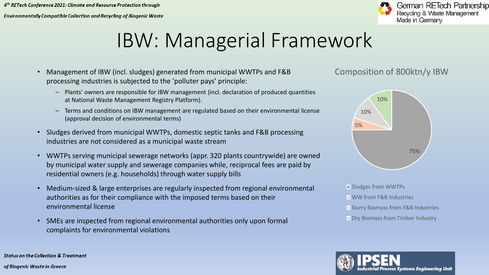

#### IBW: Managerial Framework

- Management of IBW (incl. sludges) generated from municipal WWTPs and F&B processing industries is subjected to the 'polluter pays' principle:
	- Plants' owners are responsible for IBW management (incl. declaration of produced quantities at National Waste Management Registry Platform).
	- Terms and conditions on IBW management are regulated based on their environmental license (approval decision of environmental terms)
- Sludges derived from municipal WWTPs, domestic septic tanks and F&B processing industries are not considered as a municipal waste stream
- WWTPs serving municipal sewerage networks (appr. 320 plants countrywide) are owned by municipal water supply and sewerage companies while, reciprocal fees are paid by residential owners (e.g. households) through water supply bills
- Medium-sized & large enterprises are regularly inspected from regional environmental authorities as for their compliance with the imposed terms based on their environmental license
- SMEs are inspected from regional environmental authorities only upon formal complaints for environmental violations

Composition of 800ktn/y IBW



- Sludges from WWTPs
- **NW** from F&B Industries
- **Slurry Biomass from F&B Industries**
- **Dry Biomass from Timber Industry**



**Status on the Collection & Treatment**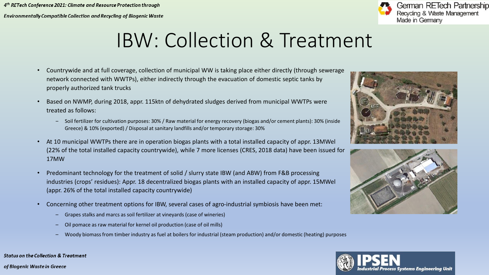

#### IBW: Collection & Treatment

- Countrywide and at full coverage, collection of municipal WW is taking place either directly (through sewerage network connected with WWTPs), either indirectly through the evacuation of domestic septic tanks by properly authorized tank trucks
- Based on NWMP, during 2018, appr. 115ktn of dehydrated sludges derived from municipal WWTPs were treated as follows:
	- ‒ Soil fertilizer for cultivation purposes: 30% / Raw material for energy recovery (biogas and/or cement plants): 30% (inside Greece) & 10% (exported) / Disposal at sanitary landfills and/or temporary storage: 30%
- At 10 municipal WWTPs there are in operation biogas plants with a total installed capacity of appr. 13MWel (22% of the total installed capacity countrywide), while 7 more licenses (CRES, 2018 data) have been issued for 17MW
- Predominant technology for the treatment of solid / slurry state IBW (and ABW) from F&B processing industries (crops' residues): Appr. 18 decentralized biogas plants with an installed capacity of appr. 15MWel (appr. 26% of the total installed capacity countrywide)
- Concerning other treatment options for IBW, several cases of agro-industrial symbiosis have been met:
	- Grapes stalks and marcs as soil fertilizer at vineyards (case of wineries)
	- Oil pomace as raw material for kernel oil production (case of oil mills)
	- Woody biomass from timber industry as fuel at boilers for industrial (steam production) and/or domestic (heating) purposes







**Status on the Collection & Treatment**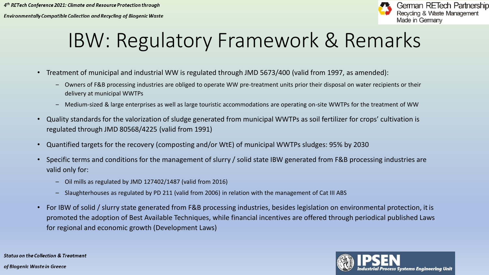

### IBW: Regulatory Framework & Remarks

- Treatment of municipal and industrial WW is regulated through JMD 5673/400 (valid from 1997, as amended):
	- ‒ Owners of F&B processing industries are obliged to operate WW pre-treatment units prior their disposal on water recipients or their delivery at municipal WWTPs
	- ‒ Medium-sized & large enterprises as well as large touristic accommodations are operating on-site WWTPs for the treatment of WW
- Quality standards for the valorization of sludge generated from municipal WWTPs as soil fertilizer for crops' cultivation is regulated through JMD 80568/4225 (valid from 1991)
- Quantified targets for the recovery (composting and/or WtE) of municipal WWTPs sludges: 95% by 2030
- Specific terms and conditions for the management of slurry / solid state IBW generated from F&B processing industries are valid only for:
	- Oil mills as regulated by JMD 127402/1487 (valid from 2016)
	- Slaughterhouses as regulated by PD 211 (valid from 2006) in relation with the management of Cat III ABS
- For IBW of solid / slurry state generated from F&B processing industries, besides legislation on environmental protection, it is promoted the adoption of Best Available Techniques, while financial incentives are offered through periodical published Laws for regional and economic growth (Development Laws)

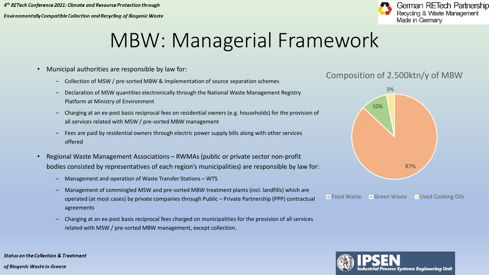

#### MBW: Managerial Framework

- Municipal authorities are responsible by law for:
	- ‒ Collection of MSW / pre-sorted MBW & Implementation of source separation schemes
	- Declaration of MSW quantities electronically through the National Waste Management Registry Platform at Ministry of Environment
	- ‒ Charging at an ex-post basis reciprocal fees on residential owners (e.g. households) for the provision of all services related with MSW / pre-sorted MBW management
	- ‒ Fees are paid by residential owners through electric power supply bills along with other services offered
- Regional Waste Management Associations RWMAs (public or private sector non-profit bodies consisted by representatives of each region's municipalities) are responsible by law for:
	- ‒ Management and operation of Waste Transfer Stations WTS
	- ‒ Management of commingled MSW and pre-sorted MBW treatment plants (incl. landfills) which are operated (at most cases) by private companies through Public – Private Partnership (PPP) contractual agreements
	- ‒ Charging at an ex-post basis reciprocal fees charged on municipalities for the provision of all services related with MSW / pre-sorted MBW management, except collection.

#### Composition of 2.500ktn/y of MBW



**Food Waste** Green Waste Used Cooking Oils

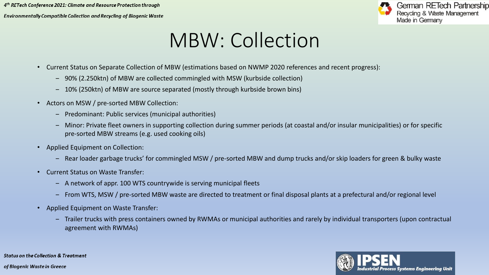

#### MBW: Collection

- Current Status on Separate Collection of MBW (estimations based on NWMP 2020 references and recent progress):
	- ‒ 90% (2.250ktn) of MBW are collected commingled with MSW (kurbside collection)
	- ‒ 10% (250ktn) of MBW are source separated (mostly through kurbside brown bins)
- Actors on MSW / pre-sorted MBW Collection:
	- ‒ Predominant: Public services (municipal authorities)
	- ‒ Minor: Private fleet owners in supporting collection during summer periods (at coastal and/or insular municipalities) or for specific pre-sorted MBW streams (e.g. used cooking oils)
- Applied Equipment on Collection:
	- Rear loader garbage trucks' for commingled MSW / pre-sorted MBW and dump trucks and/or skip loaders for green & bulky waste
- Current Status on Waste Transfer:
	- A network of appr. 100 WTS countrywide is serving municipal fleets
	- ‒ From WTS, MSW / pre-sorted MBW waste are directed to treatment or final disposal plants at a prefectural and/or regional level
- Applied Equipment on Waste Transfer:
	- ‒ Trailer trucks with press containers owned by RWMAs or municipal authorities and rarely by individual transporters (upon contractual agreement with RWMAs)

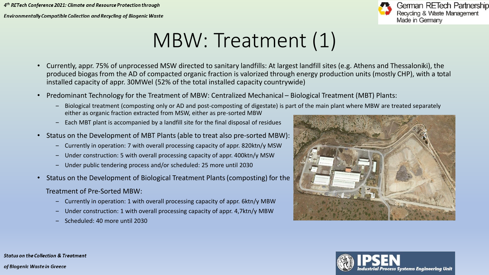

#### MBW: Treatment (1)

- Currently, appr. 75% of unprocessed MSW directed to sanitary landfills: At largest landfill sites (e.g. Athens and Thessaloniki), the produced biogas from the AD of compacted organic fraction is valorized through energy production units (mostly CHP), with a total installed capacity of appr. 30MWel (52% of the total installed capacity countrywide)
- Predominant Technology for the Treatment of MBW: Centralized Mechanical Biological Treatment (MBT) Plants:
	- ‒ Biological treatment (composting only or AD and post-composting of digestate) is part of the main plant where MBW are treated separately either as organic fraction extracted from MSW, either as pre-sorted MBW
	- ‒ Each MBT plant is accompanied by a landfill site for the final disposal of residues
- Status on the Development of MBT Plants (able to treat also pre-sorted MBW):
	- ‒ Currently in operation: 7 with overall processing capacity of appr. 820ktn/y MSW
	- ‒ Under construction: 5 with overall processing capacity of appr. 400ktn/y MSW
	- ‒ Under public tendering process and/or scheduled: 25 more until 2030
- Status on the Development of Biological Treatment Plants(composting) for the
	- Treatment of Pre-Sorted MBW:
		- ‒ Currently in operation: 1 with overall processing capacity of appr. 6ktn/y MΒW
		- Under construction: 1 with overall processing capacity of appr. 4,7ktn/y MBW
		- ‒ Scheduled: 40 more until 2030





**Status on the Collection & Treatment** of Biogenic Waste in Greece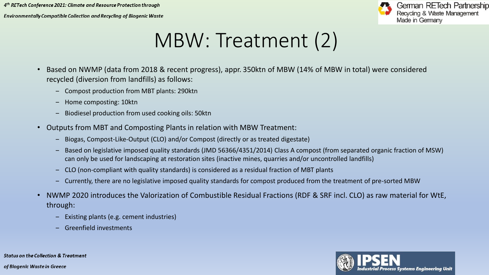

#### MBW: Treatment (2)

- Based on NWMP (data from 2018 & recent progress), appr. 350ktn of MBW (14% of MBW in total) were considered recycled (diversion from landfills) as follows:
	- ‒ Compost production from MBT plants: 290ktn
	- ‒ Home composting: 10ktn
	- ‒ Biodiesel production from used cooking oils: 50ktn
- Outputs from MBT and Composting Plants in relation with MBW Treatment:
	- ‒ Biogas, Compost-Like-Output (CLO) and/or Compost (directly or as treated digestate)
	- ‒ Based on legislative imposed quality standards (JMD 56366/4351/2014) Class A compost (from separated organic fraction of MSW) can only be used for landscaping at restoration sites (inactive mines, quarries and/or uncontrolled landfills)
	- ‒ CLO (non-compliant with quality standards) is considered as a residual fraction of MBT plants
	- ‒ Currently, there are no legislative imposed quality standards for compost produced from the treatment of pre-sorted MBW
- NWMP 2020 introduces the Valorization of Combustible Residual Fractions (RDF & SRF incl. CLO) as raw material for WtE, through:
	- ‒ Existing plants (e.g. cement industries)
	- ‒ Greenfield investments



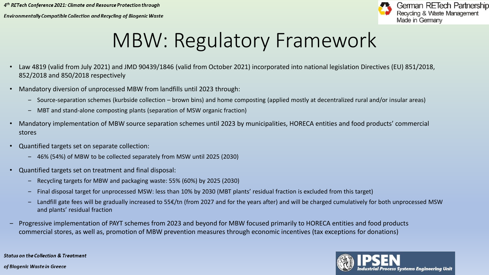

### MBW: Regulatory Framework

- Law 4819 (valid from July 2021) and JMD 90439/1846 (valid from October 2021) incorporated into national legislation Directives (EU) 851/2018, 852/2018 and 850/2018 respectively
- Mandatory diversion of unprocessed MBW from landfills until 2023 through:
	- ‒ Source-separation schemes (kurbside collection brown bins) and home composting (applied mostly at decentralized rural and/or insular areas)
	- ‒ MBT and stand-alone composting plants (separation of MSW organic fraction)
- Mandatory implementation of MBW source separation schemes until 2023 by municipalities, HORECA entities and food products' commercial stores
- Quantified targets set on separate collection:
	- ‒ 46% (54%) of MBW to be collected separately from MSW until 2025 (2030)
- Quantified targets set on treatment and final disposal:
	- ‒ Recycling targets for MBW and packaging waste: 55% (60%) by 2025 (2030)
	- ‒ Final disposal target for unprocessed MSW: less than 10% by 2030 (MBT plants' residual fraction is excluded from this target)
	- Landfill gate fees will be gradually increased to 55€/tn (from 2027 and for the years after) and will be charged cumulatively for both unprocessed MSW and plants' residual fraction
- ‒ Progressive implementation of PAYT schemes from 2023 and beyond for MBW focused primarily to HORECA entities and food products commercial stores, as well as, promotion of MBW prevention measures through economic incentives (tax exceptions for donations)



**Status on the Collection & Treatment**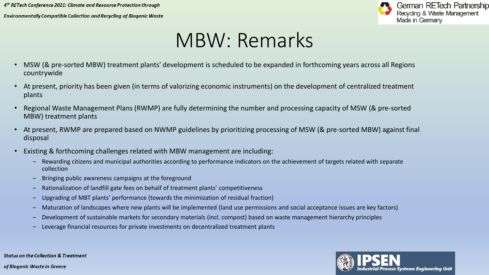

#### MBW: Remarks

- MSW (& pre-sorted MBW) treatment plants' development is scheduled to be expanded in forthcoming years across all Regions countrywide
- At present, priority has been given (in terms of valorizing economic instruments) on the development of centralized treatment plants
- Regional Waste Management Plans (RWMP) are fully determining the number and processing capacity of MSW (& pre-sorted MBW) treatment plants
- At present, RWMP are prepared based on NWMP guidelines by prioritizing processing of MSW (& pre-sorted MBW) against final disposal
- Existing & forthcoming challenges related with MBW management are including:
	- ‒ Rewarding citizens and municipal authorities according to performance indicators on the achievement of targets related with separate collection
	- ‒ Bringing public awareness campaigns at the foreground
	- ‒ Rationalization of landfill gate fees on behalf of treatment plants' competitiveness
	- ‒ Upgrading of MBT plants' performance (towards the minimization of residual fraction)
	- ‒ Maturation of landscapes where new plants will be implemented (land use permissions and social acceptance issues are key factors)
	- ‒ Development of sustainable markets for secondary materials (incl. compost) based on waste management hierarchy principles
	- ‒ Leverage financial resources for private investments on decentralized treatment plants



**Status on the Collection & Treatment**